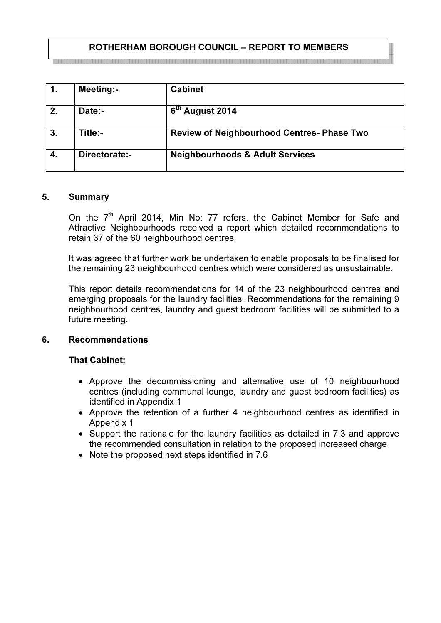# ROTHERHAM BOROUGH COUNCIL – REPORT TO MEMBERS

| 1. | <b>Meeting:-</b> | <b>Cabinet</b>                             |
|----|------------------|--------------------------------------------|
| 2. | Date:-           | 6 <sup>th</sup> August 2014                |
| 3. | Title:-          | Review of Neighbourhood Centres- Phase Two |
| 4. | Directorate:-    | <b>Neighbourhoods &amp; Adult Services</b> |

## 5. Summary

On the 7<sup>th</sup> April 2014, Min No: 77 refers, the Cabinet Member for Safe and Attractive Neighbourhoods received a report which detailed recommendations to retain 37 of the 60 neighbourhood centres.

It was agreed that further work be undertaken to enable proposals to be finalised for the remaining 23 neighbourhood centres which were considered as unsustainable.

This report details recommendations for 14 of the 23 neighbourhood centres and emerging proposals for the laundry facilities. Recommendations for the remaining 9 neighbourhood centres, laundry and guest bedroom facilities will be submitted to a future meeting.

### 6. Recommendations

## That Cabinet;

- Approve the decommissioning and alternative use of 10 neighbourhood centres (including communal lounge, laundry and guest bedroom facilities) as identified in Appendix 1
- Approve the retention of a further 4 neighbourhood centres as identified in Appendix 1
- Support the rationale for the laundry facilities as detailed in 7.3 and approve the recommended consultation in relation to the proposed increased charge
- Note the proposed next steps identified in 7.6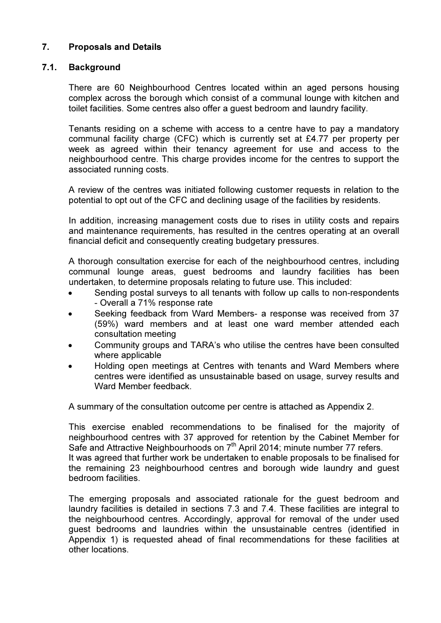# 7. Proposals and Details

## 7.1. Background

There are 60 Neighbourhood Centres located within an aged persons housing complex across the borough which consist of a communal lounge with kitchen and toilet facilities. Some centres also offer a guest bedroom and laundry facility.

Tenants residing on a scheme with access to a centre have to pay a mandatory communal facility charge (CFC) which is currently set at £4.77 per property per week as agreed within their tenancy agreement for use and access to the neighbourhood centre. This charge provides income for the centres to support the associated running costs.

A review of the centres was initiated following customer requests in relation to the potential to opt out of the CFC and declining usage of the facilities by residents.

In addition, increasing management costs due to rises in utility costs and repairs and maintenance requirements, has resulted in the centres operating at an overall financial deficit and consequently creating budgetary pressures.

A thorough consultation exercise for each of the neighbourhood centres, including communal lounge areas, guest bedrooms and laundry facilities has been undertaken, to determine proposals relating to future use. This included:

- Sending postal surveys to all tenants with follow up calls to non-respondents - Overall a 71% response rate
- Seeking feedback from Ward Members- a response was received from 37 (59%) ward members and at least one ward member attended each consultation meeting
- Community groups and TARA's who utilise the centres have been consulted where applicable
- Holding open meetings at Centres with tenants and Ward Members where centres were identified as unsustainable based on usage, survey results and Ward Member feedback.

A summary of the consultation outcome per centre is attached as Appendix 2.

This exercise enabled recommendations to be finalised for the majority of neighbourhood centres with 37 approved for retention by the Cabinet Member for Safe and Attractive Neighbourhoods on  $7<sup>th</sup>$  April 2014; minute number 77 refers. It was agreed that further work be undertaken to enable proposals to be finalised for the remaining 23 neighbourhood centres and borough wide laundry and guest bedroom facilities.

The emerging proposals and associated rationale for the guest bedroom and laundry facilities is detailed in sections 7.3 and 7.4. These facilities are integral to the neighbourhood centres. Accordingly, approval for removal of the under used guest bedrooms and laundries within the unsustainable centres (identified in Appendix 1) is requested ahead of final recommendations for these facilities at other locations.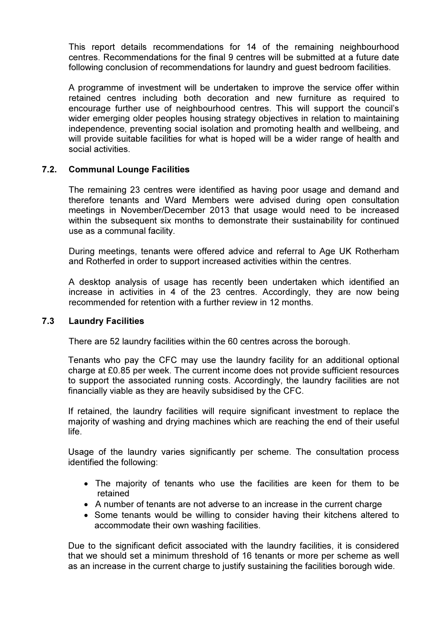This report details recommendations for 14 of the remaining neighbourhood centres. Recommendations for the final 9 centres will be submitted at a future date following conclusion of recommendations for laundry and guest bedroom facilities.

A programme of investment will be undertaken to improve the service offer within retained centres including both decoration and new furniture as required to encourage further use of neighbourhood centres. This will support the council's wider emerging older peoples housing strategy objectives in relation to maintaining independence, preventing social isolation and promoting health and wellbeing, and will provide suitable facilities for what is hoped will be a wider range of health and social activities.

## 7.2. Communal Lounge Facilities

The remaining 23 centres were identified as having poor usage and demand and therefore tenants and Ward Members were advised during open consultation meetings in November/December 2013 that usage would need to be increased within the subsequent six months to demonstrate their sustainability for continued use as a communal facility.

During meetings, tenants were offered advice and referral to Age UK Rotherham and Rotherfed in order to support increased activities within the centres.

A desktop analysis of usage has recently been undertaken which identified an increase in activities in 4 of the 23 centres. Accordingly, they are now being recommended for retention with a further review in 12 months.

## 7.3 Laundry Facilities

There are 52 laundry facilities within the 60 centres across the borough.

Tenants who pay the CFC may use the laundry facility for an additional optional charge at £0.85 per week. The current income does not provide sufficient resources to support the associated running costs. Accordingly, the laundry facilities are not financially viable as they are heavily subsidised by the CFC.

If retained, the laundry facilities will require significant investment to replace the majority of washing and drying machines which are reaching the end of their useful life.

Usage of the laundry varies significantly per scheme. The consultation process identified the following:

- The majority of tenants who use the facilities are keen for them to be retained
- A number of tenants are not adverse to an increase in the current charge
- Some tenants would be willing to consider having their kitchens altered to accommodate their own washing facilities.

Due to the significant deficit associated with the laundry facilities, it is considered that we should set a minimum threshold of 16 tenants or more per scheme as well as an increase in the current charge to justify sustaining the facilities borough wide.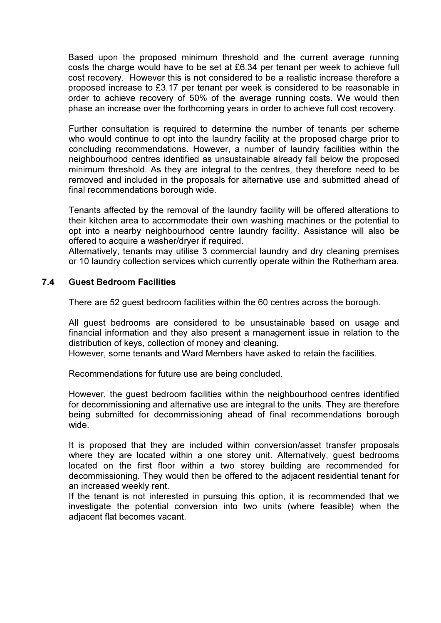Based upon the proposed minimum threshold and the current average running costs the charge would have to be set at £6.34 per tenant per week to achieve full cost recovery. However this is not considered to be a realistic increase therefore a proposed increase to £3.17 per tenant per week is considered to be reasonable in order to achieve recovery of 50% of the average running costs. We would then phase an increase over the forthcoming years in order to achieve full cost recovery.

Further consultation is required to determine the number of tenants per scheme who would continue to opt into the laundry facility at the proposed charge prior to concluding recommendations. However, a number of laundry facilities within the neighbourhood centres identified as unsustainable already fall below the proposed minimum threshold. As they are integral to the centres, they therefore need to be removed and included in the proposals for alternative use and submitted ahead of final recommendations borough wide.

Tenants affected by the removal of the laundry facility will be offered alterations to their kitchen area to accommodate their own washing machines or the potential to opt into a nearby neighbourhood centre laundry facility. Assistance will also be offered to acquire a washer/dryer if required.

Alternatively, tenants may utilise 3 commercial laundry and dry cleaning premises or 10 laundry collection services which currently operate within the Rotherham area.

### 7.4 Guest Bedroom Facilities

There are 52 guest bedroom facilities within the 60 centres across the borough.

All guest bedrooms are considered to be unsustainable based on usage and financial information and they also present a management issue in relation to the distribution of keys, collection of money and cleaning.

However, some tenants and Ward Members have asked to retain the facilities.

Recommendations for future use are being concluded.

However, the guest bedroom facilities within the neighbourhood centres identified for decommissioning and alternative use are integral to the units. They are therefore being submitted for decommissioning ahead of final recommendations borough wide.

It is proposed that they are included within conversion/asset transfer proposals where they are located within a one storey unit. Alternatively, guest bedrooms located on the first floor within a two storey building are recommended for decommissioning. They would then be offered to the adjacent residential tenant for an increased weekly rent.

If the tenant is not interested in pursuing this option, it is recommended that we investigate the potential conversion into two units (where feasible) when the adjacent flat becomes vacant.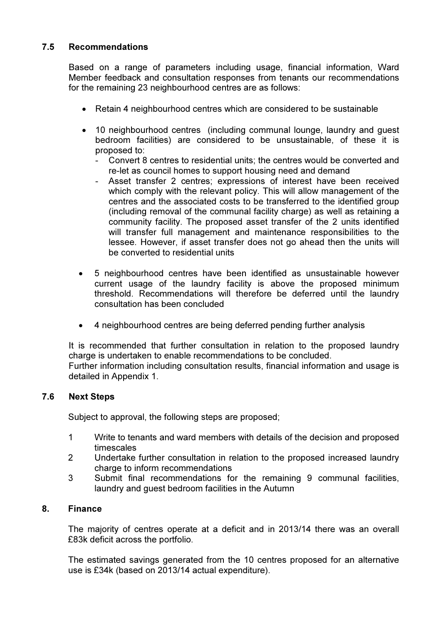# 7.5 Recommendations

Based on a range of parameters including usage, financial information, Ward Member feedback and consultation responses from tenants our recommendations for the remaining 23 neighbourhood centres are as follows:

- Retain 4 neighbourhood centres which are considered to be sustainable
- 10 neighbourhood centres (including communal lounge, laundry and guest bedroom facilities) are considered to be unsustainable, of these it is proposed to:
	- Convert 8 centres to residential units; the centres would be converted and re-let as council homes to support housing need and demand
	- Asset transfer 2 centres; expressions of interest have been received which comply with the relevant policy. This will allow management of the centres and the associated costs to be transferred to the identified group (including removal of the communal facility charge) as well as retaining a community facility. The proposed asset transfer of the 2 units identified will transfer full management and maintenance responsibilities to the lessee. However, if asset transfer does not go ahead then the units will be converted to residential units
- 5 neighbourhood centres have been identified as unsustainable however current usage of the laundry facility is above the proposed minimum threshold. Recommendations will therefore be deferred until the laundry consultation has been concluded
- 4 neighbourhood centres are being deferred pending further analysis

It is recommended that further consultation in relation to the proposed laundry charge is undertaken to enable recommendations to be concluded. Further information including consultation results, financial information and usage is detailed in Appendix 1.

## 7.6 Next Steps

Subject to approval, the following steps are proposed;

- 1 Write to tenants and ward members with details of the decision and proposed timescales
- 2 Undertake further consultation in relation to the proposed increased laundry charge to inform recommendations
- 3 Submit final recommendations for the remaining 9 communal facilities, laundry and guest bedroom facilities in the Autumn

## 8. Finance

The majority of centres operate at a deficit and in 2013/14 there was an overall £83k deficit across the portfolio.

The estimated savings generated from the 10 centres proposed for an alternative use is £34k (based on 2013/14 actual expenditure).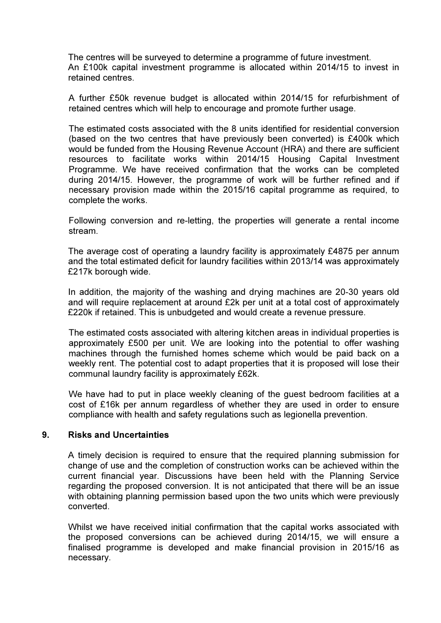The centres will be surveyed to determine a programme of future investment. An £100k capital investment programme is allocated within 2014/15 to invest in retained centres.

A further £50k revenue budget is allocated within 2014/15 for refurbishment of retained centres which will help to encourage and promote further usage.

The estimated costs associated with the 8 units identified for residential conversion (based on the two centres that have previously been converted) is £400k which would be funded from the Housing Revenue Account (HRA) and there are sufficient resources to facilitate works within 2014/15 Housing Capital Investment Programme. We have received confirmation that the works can be completed during 2014/15. However, the programme of work will be further refined and if necessary provision made within the 2015/16 capital programme as required, to complete the works.

Following conversion and re-letting, the properties will generate a rental income stream.

The average cost of operating a laundry facility is approximately £4875 per annum and the total estimated deficit for laundry facilities within 2013/14 was approximately £217k borough wide.

In addition, the majority of the washing and drying machines are 20-30 years old and will require replacement at around £2k per unit at a total cost of approximately £220k if retained. This is unbudgeted and would create a revenue pressure.

The estimated costs associated with altering kitchen areas in individual properties is approximately £500 per unit. We are looking into the potential to offer washing machines through the furnished homes scheme which would be paid back on a weekly rent. The potential cost to adapt properties that it is proposed will lose their communal laundry facility is approximately £62k.

We have had to put in place weekly cleaning of the guest bedroom facilities at a cost of £16k per annum regardless of whether they are used in order to ensure compliance with health and safety regulations such as legionella prevention.

### 9. Risks and Uncertainties

A timely decision is required to ensure that the required planning submission for change of use and the completion of construction works can be achieved within the current financial year. Discussions have been held with the Planning Service regarding the proposed conversion. It is not anticipated that there will be an issue with obtaining planning permission based upon the two units which were previously converted.

Whilst we have received initial confirmation that the capital works associated with the proposed conversions can be achieved during 2014/15, we will ensure a finalised programme is developed and make financial provision in 2015/16 as necessary.